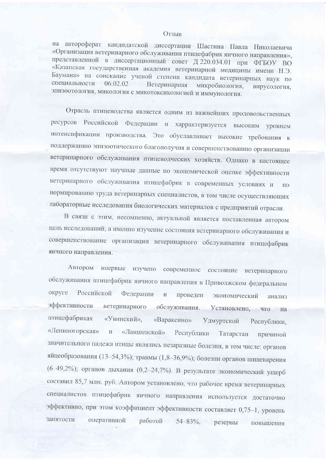## Отзыв

на автореферат кандидатской диссертации Шастина Павла Николаевича «Организация ветеринарного обслуживания птицефабрик яичного направления», представленной в диссертационный совет Д 220.034.01 при ФГБОУ ВО «Казанская государственная академия ветеринарной медицины имени Н.Э. Баумана» на соискание ученой степени кандидата ветеринарных наук по специальности 06.02.02 Ветеринарная микробиология, вирусология. эпизоотология, микология с микотоксикологией и иммунология.

Отрасль птицеводства является одним из важнейших продовольственных ресурсов Российской Федерации и харрактеризуется высоким уровнем интенсификации производства. Это обуславливает высокие требования к поддержанию эпизоотического благополучия и совершенствованию организации ветеринарного обслуживания птицеводческих хозяйств. Однако в настоящее время отсутствуют научные данные по экономической оценке эффективности ветеринарного обслуживания птицефабрик в современных условиях и  $\overline{110}$ нормированию труда ветеринарных специалистов, в том числе осуществляющих лабораторные исследования биологических материалов с предприятий отрасли.

В связи с этим, несомненно, актуальной является поставленная автором цель исследований, а именно изучение состояния ветеринарного обслуживания и совершенствование организации ветеринарного обслуживания птицефабрик яичного направления.

Автором впервые изучено современное состояние ветеринарного обслуживания птицефабрик яичного направления в Приволжском федеральном Российской округе Федерации  $\overline{M}$ проведен экономический анализ эффективности ветеринарного обслуживания. Установлено, что на птицефабриках «Увинский», «Вараксино» Удмуртской Республики, «Лениногорская» «Лаишевской»  $\rm\thinspace M$ Республики Татарстан причиной значительного падежа птицы являлись незаразные болезни, в том числе: органов яйцеобразования (13-54,3%); травмы (1,8-36,9%); болезни органов пищеварения (6-49,2%); органов дыхания (0,2-24,7%). В результате экономический ущерб составил 85,7 млн. руб. Автором установлено, что рабочее время ветеринарных специалистов птицефабрик яичного направления используется достаточно эффективно, при этом коэффициент эффективности составляет 0,75-1, уровень занятости оперативной работой  $54 - 83\%,$  резервы повышения